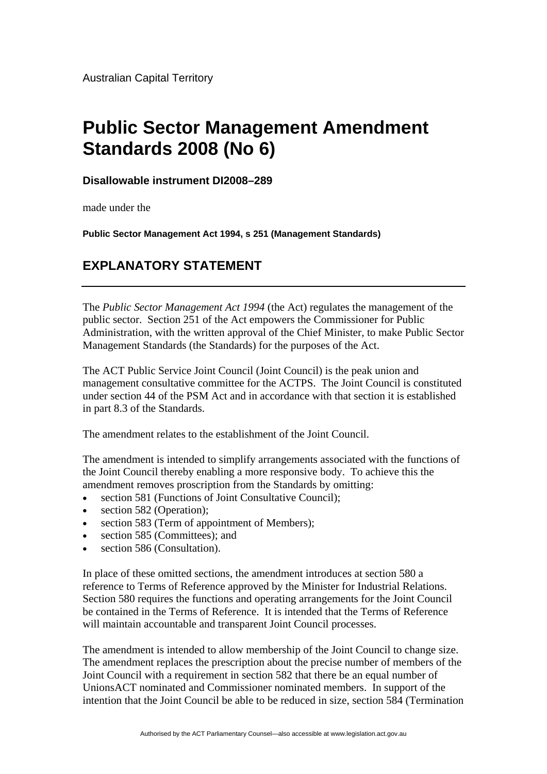## **Public Sector Management Amendment Standards 2008 (No 6)**

**Disallowable instrument DI2008–289**

made under the

**Public Sector Management Act 1994, s 251 (Management Standards)** 

## **EXPLANATORY STATEMENT**

The *Public Sector Management Act 1994* (the Act) regulates the management of the public sector. Section 251 of the Act empowers the Commissioner for Public Administration, with the written approval of the Chief Minister, to make Public Sector Management Standards (the Standards) for the purposes of the Act.

The ACT Public Service Joint Council (Joint Council) is the peak union and management consultative committee for the ACTPS. The Joint Council is constituted under section 44 of the PSM Act and in accordance with that section it is established in part 8.3 of the Standards.

The amendment relates to the establishment of the Joint Council.

The amendment is intended to simplify arrangements associated with the functions of the Joint Council thereby enabling a more responsive body. To achieve this the amendment removes proscription from the Standards by omitting:

- section 581 (Functions of Joint Consultative Council);
- section 582 (Operation):
- section 583 (Term of appointment of Members);
- section 585 (Committees); and
- section 586 (Consultation).

In place of these omitted sections, the amendment introduces at section 580 a reference to Terms of Reference approved by the Minister for Industrial Relations. Section 580 requires the functions and operating arrangements for the Joint Council be contained in the Terms of Reference. It is intended that the Terms of Reference will maintain accountable and transparent Joint Council processes.

The amendment is intended to allow membership of the Joint Council to change size. The amendment replaces the prescription about the precise number of members of the Joint Council with a requirement in section 582 that there be an equal number of UnionsACT nominated and Commissioner nominated members. In support of the intention that the Joint Council be able to be reduced in size, section 584 (Termination